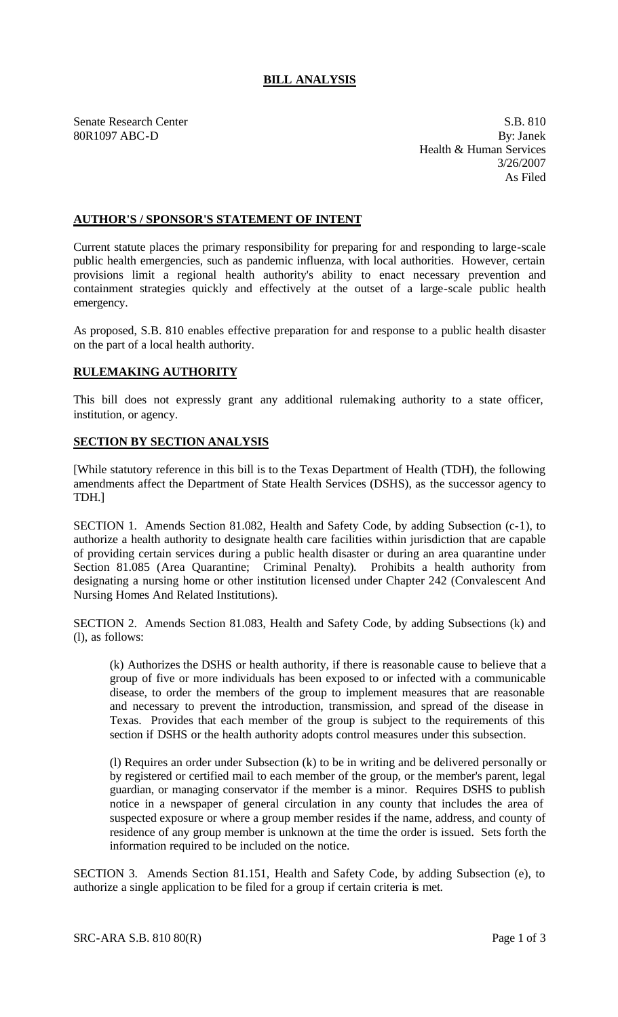## **BILL ANALYSIS**

Senate Research Center S.B. 810

80R1097 ABC-D By: Janek Health & Human Services 3/26/2007 As Filed

## **AUTHOR'S / SPONSOR'S STATEMENT OF INTENT**

Current statute places the primary responsibility for preparing for and responding to large-scale public health emergencies, such as pandemic influenza, with local authorities. However, certain provisions limit a regional health authority's ability to enact necessary prevention and containment strategies quickly and effectively at the outset of a large-scale public health emergency.

As proposed, S.B. 810 enables effective preparation for and response to a public health disaster on the part of a local health authority.

## **RULEMAKING AUTHORITY**

This bill does not expressly grant any additional rulemaking authority to a state officer, institution, or agency.

## **SECTION BY SECTION ANALYSIS**

[While statutory reference in this bill is to the Texas Department of Health (TDH), the following amendments affect the Department of State Health Services (DSHS), as the successor agency to TDH.]

SECTION 1. Amends Section 81.082, Health and Safety Code, by adding Subsection (c-1), to authorize a health authority to designate health care facilities within jurisdiction that are capable of providing certain services during a public health disaster or during an area quarantine under Section 81.085 (Area Quarantine; Criminal Penalty). Prohibits a health authority from designating a nursing home or other institution licensed under Chapter 242 (Convalescent And Nursing Homes And Related Institutions).

SECTION 2. Amends Section 81.083, Health and Safety Code, by adding Subsections (k) and (l), as follows:

(k) Authorizes the DSHS or health authority, if there is reasonable cause to believe that a group of five or more individuals has been exposed to or infected with a communicable disease, to order the members of the group to implement measures that are reasonable and necessary to prevent the introduction, transmission, and spread of the disease in Texas. Provides that each member of the group is subject to the requirements of this section if DSHS or the health authority adopts control measures under this subsection.

(l) Requires an order under Subsection (k) to be in writing and be delivered personally or by registered or certified mail to each member of the group, or the member's parent, legal guardian, or managing conservator if the member is a minor. Requires DSHS to publish notice in a newspaper of general circulation in any county that includes the area of suspected exposure or where a group member resides if the name, address, and county of residence of any group member is unknown at the time the order is issued. Sets forth the information required to be included on the notice.

SECTION 3. Amends Section 81.151, Health and Safety Code, by adding Subsection (e), to authorize a single application to be filed for a group if certain criteria is met.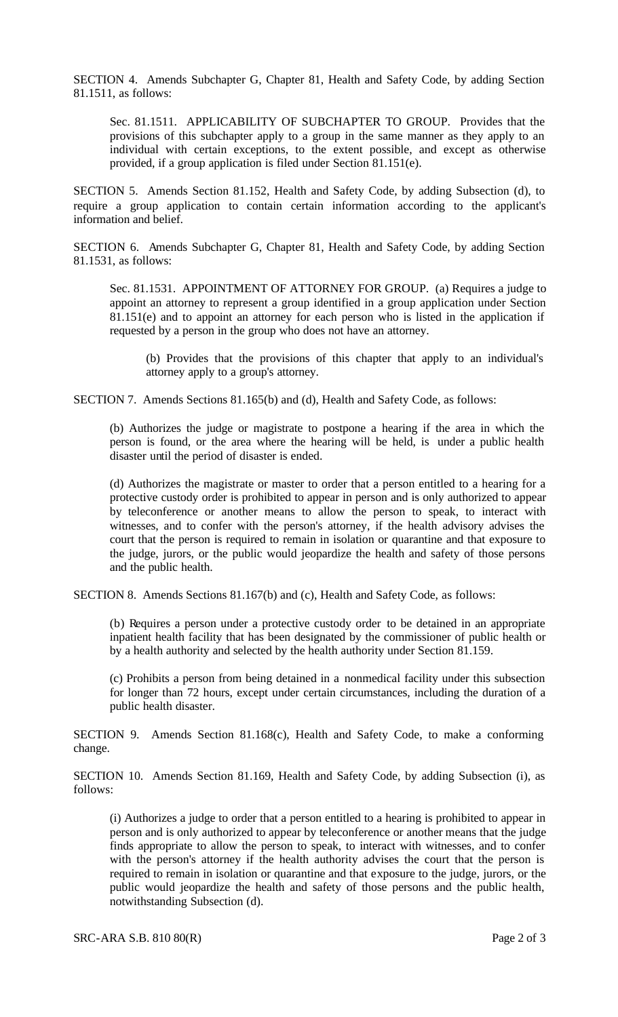SECTION 4. Amends Subchapter G, Chapter 81, Health and Safety Code, by adding Section 81.1511, as follows:

Sec. 81.1511. APPLICABILITY OF SUBCHAPTER TO GROUP. Provides that the provisions of this subchapter apply to a group in the same manner as they apply to an individual with certain exceptions, to the extent possible, and except as otherwise provided, if a group application is filed under Section 81.151(e).

SECTION 5. Amends Section 81.152, Health and Safety Code, by adding Subsection (d), to require a group application to contain certain information according to the applicant's information and belief.

SECTION 6. Amends Subchapter G, Chapter 81, Health and Safety Code, by adding Section 81.1531, as follows:

Sec. 81.1531. APPOINTMENT OF ATTORNEY FOR GROUP. (a) Requires a judge to appoint an attorney to represent a group identified in a group application under Section 81.151(e) and to appoint an attorney for each person who is listed in the application if requested by a person in the group who does not have an attorney.

(b) Provides that the provisions of this chapter that apply to an individual's attorney apply to a group's attorney.

SECTION 7. Amends Sections 81.165(b) and (d), Health and Safety Code, as follows:

(b) Authorizes the judge or magistrate to postpone a hearing if the area in which the person is found, or the area where the hearing will be held, is under a public health disaster until the period of disaster is ended.

(d) Authorizes the magistrate or master to order that a person entitled to a hearing for a protective custody order is prohibited to appear in person and is only authorized to appear by teleconference or another means to allow the person to speak, to interact with witnesses, and to confer with the person's attorney, if the health advisory advises the court that the person is required to remain in isolation or quarantine and that exposure to the judge, jurors, or the public would jeopardize the health and safety of those persons and the public health.

SECTION 8. Amends Sections 81.167(b) and (c), Health and Safety Code, as follows:

(b) Requires a person under a protective custody order to be detained in an appropriate inpatient health facility that has been designated by the commissioner of public health or by a health authority and selected by the health authority under Section 81.159.

(c) Prohibits a person from being detained in a nonmedical facility under this subsection for longer than 72 hours, except under certain circumstances, including the duration of a public health disaster.

SECTION 9. Amends Section 81.168(c), Health and Safety Code, to make a conforming change.

SECTION 10. Amends Section 81.169, Health and Safety Code, by adding Subsection (i), as follows:

(i) Authorizes a judge to order that a person entitled to a hearing is prohibited to appear in person and is only authorized to appear by teleconference or another means that the judge finds appropriate to allow the person to speak, to interact with witnesses, and to confer with the person's attorney if the health authority advises the court that the person is required to remain in isolation or quarantine and that exposure to the judge, jurors, or the public would jeopardize the health and safety of those persons and the public health, notwithstanding Subsection (d).